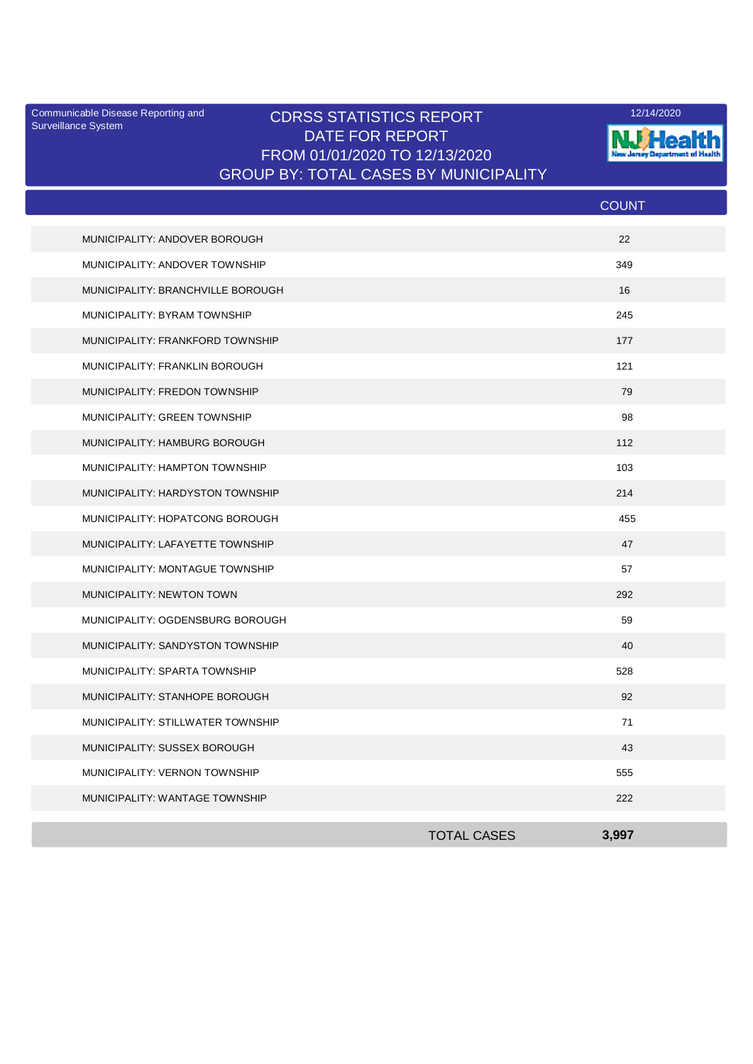Surveillance System

## Communicable Disease Reporting and **CDRSS STATISTICS REPORT** 12/14/2020<br>Surveillance Statem DATE FOR REPORT FROM 01/01/2020 TO 12/13/2020 GROUP BY: TOTAL CASES BY MUNICIPALITY



| 22<br>MUNICIPALITY: ANDOVER BOROUGH<br>MUNICIPALITY: ANDOVER TOWNSHIP<br>349<br>MUNICIPALITY: BRANCHVILLE BOROUGH<br>16<br>245<br>MUNICIPALITY: BYRAM TOWNSHIP<br>MUNICIPALITY: FRANKFORD TOWNSHIP<br>177<br>121<br>MUNICIPALITY: FRANKLIN BOROUGH<br>MUNICIPALITY: FREDON TOWNSHIP<br>79<br>98<br>MUNICIPALITY: GREEN TOWNSHIP<br>MUNICIPALITY: HAMBURG BOROUGH<br>112<br>MUNICIPALITY: HAMPTON TOWNSHIP<br>103<br>MUNICIPALITY: HARDYSTON TOWNSHIP<br>214<br>MUNICIPALITY: HOPATCONG BOROUGH<br>455<br>MUNICIPALITY: LAFAYETTE TOWNSHIP<br>47<br>57<br>MUNICIPALITY: MONTAGUE TOWNSHIP<br>MUNICIPALITY: NEWTON TOWN<br>292<br>MUNICIPALITY: OGDENSBURG BOROUGH<br>59<br>MUNICIPALITY: SANDYSTON TOWNSHIP<br>40<br>MUNICIPALITY: SPARTA TOWNSHIP<br>528<br>92<br>MUNICIPALITY: STANHOPE BOROUGH<br>MUNICIPALITY: STILLWATER TOWNSHIP<br>71<br>43<br>MUNICIPALITY: SUSSEX BOROUGH<br>MUNICIPALITY: VERNON TOWNSHIP<br>555<br>MUNICIPALITY: WANTAGE TOWNSHIP<br>222 |  | <b>COUNT</b> |  |
|--------------------------------------------------------------------------------------------------------------------------------------------------------------------------------------------------------------------------------------------------------------------------------------------------------------------------------------------------------------------------------------------------------------------------------------------------------------------------------------------------------------------------------------------------------------------------------------------------------------------------------------------------------------------------------------------------------------------------------------------------------------------------------------------------------------------------------------------------------------------------------------------------------------------------------------------------------------------|--|--------------|--|
|                                                                                                                                                                                                                                                                                                                                                                                                                                                                                                                                                                                                                                                                                                                                                                                                                                                                                                                                                                    |  |              |  |
|                                                                                                                                                                                                                                                                                                                                                                                                                                                                                                                                                                                                                                                                                                                                                                                                                                                                                                                                                                    |  |              |  |
|                                                                                                                                                                                                                                                                                                                                                                                                                                                                                                                                                                                                                                                                                                                                                                                                                                                                                                                                                                    |  |              |  |
|                                                                                                                                                                                                                                                                                                                                                                                                                                                                                                                                                                                                                                                                                                                                                                                                                                                                                                                                                                    |  |              |  |
|                                                                                                                                                                                                                                                                                                                                                                                                                                                                                                                                                                                                                                                                                                                                                                                                                                                                                                                                                                    |  |              |  |
|                                                                                                                                                                                                                                                                                                                                                                                                                                                                                                                                                                                                                                                                                                                                                                                                                                                                                                                                                                    |  |              |  |
|                                                                                                                                                                                                                                                                                                                                                                                                                                                                                                                                                                                                                                                                                                                                                                                                                                                                                                                                                                    |  |              |  |
|                                                                                                                                                                                                                                                                                                                                                                                                                                                                                                                                                                                                                                                                                                                                                                                                                                                                                                                                                                    |  |              |  |
|                                                                                                                                                                                                                                                                                                                                                                                                                                                                                                                                                                                                                                                                                                                                                                                                                                                                                                                                                                    |  |              |  |
|                                                                                                                                                                                                                                                                                                                                                                                                                                                                                                                                                                                                                                                                                                                                                                                                                                                                                                                                                                    |  |              |  |
|                                                                                                                                                                                                                                                                                                                                                                                                                                                                                                                                                                                                                                                                                                                                                                                                                                                                                                                                                                    |  |              |  |
|                                                                                                                                                                                                                                                                                                                                                                                                                                                                                                                                                                                                                                                                                                                                                                                                                                                                                                                                                                    |  |              |  |
|                                                                                                                                                                                                                                                                                                                                                                                                                                                                                                                                                                                                                                                                                                                                                                                                                                                                                                                                                                    |  |              |  |
|                                                                                                                                                                                                                                                                                                                                                                                                                                                                                                                                                                                                                                                                                                                                                                                                                                                                                                                                                                    |  |              |  |
|                                                                                                                                                                                                                                                                                                                                                                                                                                                                                                                                                                                                                                                                                                                                                                                                                                                                                                                                                                    |  |              |  |
|                                                                                                                                                                                                                                                                                                                                                                                                                                                                                                                                                                                                                                                                                                                                                                                                                                                                                                                                                                    |  |              |  |
|                                                                                                                                                                                                                                                                                                                                                                                                                                                                                                                                                                                                                                                                                                                                                                                                                                                                                                                                                                    |  |              |  |
|                                                                                                                                                                                                                                                                                                                                                                                                                                                                                                                                                                                                                                                                                                                                                                                                                                                                                                                                                                    |  |              |  |
|                                                                                                                                                                                                                                                                                                                                                                                                                                                                                                                                                                                                                                                                                                                                                                                                                                                                                                                                                                    |  |              |  |
|                                                                                                                                                                                                                                                                                                                                                                                                                                                                                                                                                                                                                                                                                                                                                                                                                                                                                                                                                                    |  |              |  |
|                                                                                                                                                                                                                                                                                                                                                                                                                                                                                                                                                                                                                                                                                                                                                                                                                                                                                                                                                                    |  |              |  |
|                                                                                                                                                                                                                                                                                                                                                                                                                                                                                                                                                                                                                                                                                                                                                                                                                                                                                                                                                                    |  |              |  |
|                                                                                                                                                                                                                                                                                                                                                                                                                                                                                                                                                                                                                                                                                                                                                                                                                                                                                                                                                                    |  |              |  |
| <b>TOTAL CASES</b><br>3,997                                                                                                                                                                                                                                                                                                                                                                                                                                                                                                                                                                                                                                                                                                                                                                                                                                                                                                                                        |  |              |  |